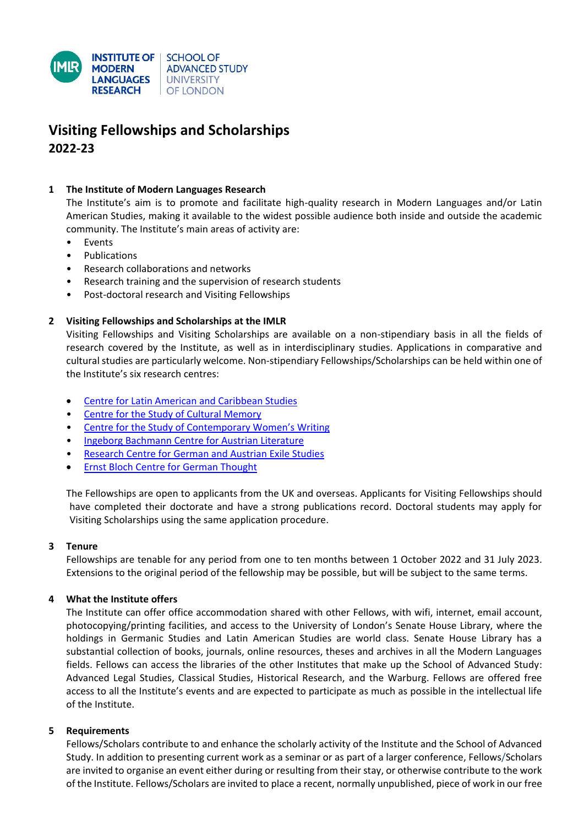

# **Visiting Fellowships and Scholarships 2022-23**

## **1 The Institute of Modern Languages Research**

The Institute's aim is to promote and facilitate high-quality research in Modern Languages and/or Latin American Studies, making it available to the widest possible audience both inside and outside the academic community. The Institute's main areas of activity are:

- **Events**
- Publications
- Research collaborations and networks
- Research training and the supervision of research students
- Post-doctoral research and Visiting Fellowships

## **2 Visiting Fellowships and Scholarships at the IMLR**

Visiting Fellowships and Visiting Scholarships are available on a non-stipendiary basis in all the fields of research covered by the Institute, as well as in interdisciplinary studies. Applications in comparative and cultural studies are particularly welcome. Non-stipendiary Fellowships/Scholarships can be held within one of the Institute's six research centres:

- [Centre for Latin American and Caribbean Studies](https://modernlanguages.sas.ac.uk/research-centres/centre-latin-american-and-caribbean-studies-clacs)
- [Centre for the Study of Cultural Memory](http://modernlanguages.sas.ac.uk/centre-study-cultural-memory)
- [Centre for the Study of Contemporary Women's Writing](http://modernlanguages.sas.ac.uk/centre-study-contemporary-womens-writing)
- [Ingeborg Bachmann Centre for Austrian Literature](http://modernlanguages.sas.ac.uk/ingeborg-bachmann-centre-austrian-literature)
- [Research Centre for German and Austrian Exile Studies](http://modernlanguages.sas.ac.uk/research-centre-german-and-austrian-exile-studies)
- [Ernst Bloch Centre for German Thought](http://modernlanguages.sas.ac.uk/ernst-bloch-centre-german-thought)

The Fellowships are open to applicants from the UK and overseas. Applicants for Visiting Fellowships should have completed their doctorate and have a strong publications record. Doctoral students may apply for Visiting Scholarships using the same application procedure.

#### **3 Tenure**

Fellowships are tenable for any period from one to ten months between 1 October 2022 and 31 July 2023. Extensions to the original period of the fellowship may be possible, but will be subject to the same terms.

#### **4 What the Institute offers**

The Institute can offer office accommodation shared with other Fellows, with wifi, internet, email account, photocopying/printing facilities, and access to the University of London's Senate House Library, where the holdings in Germanic Studies and Latin American Studies are world class. Senate House Library has a substantial collection of books, journals, online resources, theses and archives in all the Modern Languages fields. Fellows can access the libraries of the other Institutes that make up the School of Advanced Study: Advanced Legal Studies, Classical Studies, Historical Research, and the Warburg. Fellows are offered free access to all the Institute's events and are expected to participate as much as possible in the intellectual life of the Institute.

#### **5 Requirements**

Fellows/Scholars contribute to and enhance the scholarly activity of the Institute and the School of Advanced Study. In addition to presenting current work as a seminar or as part of a larger conference, Fellows/Scholars are invited to organise an event either during or resulting from their stay, or otherwise contribute to the work of the Institute. Fellows/Scholars are invited to place a recent, normally unpublished, piece of work in our free